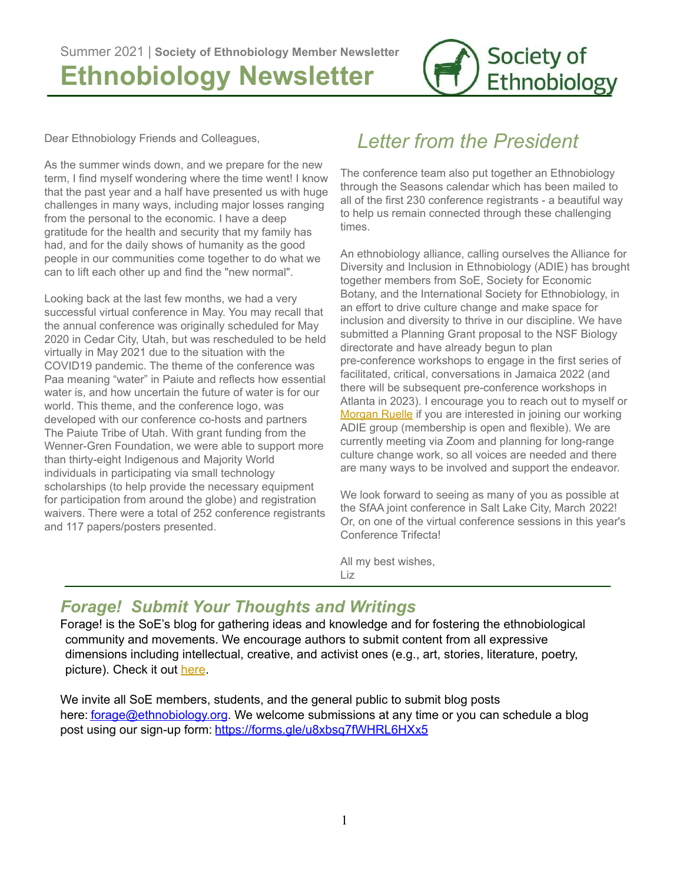

Dear Ethnobiology Friends and Colleagues,

As the summer winds down, and we prepare for the new term, I find myself wondering where the time went! I know that the past year and a half have presented us with huge challenges in many ways, including major losses ranging from the personal to the economic. I have a deep gratitude for the health and security that my family has had, and for the daily shows of humanity as the good people in our communities come together to do what we can to lift each other up and find the "new normal".

Looking back at the last few months, we had a very successful virtual conference in May. You may recall that the annual conference was originally scheduled for May 2020 in Cedar City, Utah, but was rescheduled to be held virtually in May 2021 due to the situation with the COVID19 pandemic. The theme of the conference was Paa meaning "water" in Paiute and reflects how essential water is, and how uncertain the future of water is for our world. This theme, and the conference logo, was developed with our conference co-hosts and partners The Paiute Tribe of Utah. With grant funding from the Wenner-Gren Foundation, we were able to support more than thirty-eight Indigenous and Majority World individuals in participating via small technology scholarships (to help provide the necessary equipment for participation from around the globe) and registration waivers. There were a total of 252 conference registrants and 117 papers/posters presented.

# *Letter from the President*

The conference team also put together an Ethnobiology through the Seasons calendar which has been mailed to all of the first 230 conference registrants - a beautiful way to help us remain connected through these challenging times.

An ethnobiology alliance, calling ourselves the Alliance for Diversity and Inclusion in Ethnobiology (ADIE) has brought together members from SoE, Society for Economic Botany, and the International Society for Ethnobiology, in an effort to drive culture change and make space for inclusion and diversity to thrive in our discipline. We have submitted a Planning Grant proposal to the NSF Biology directorate and have already begun to plan pre-conference workshops to engage in the first series of facilitated, critical, conversations in Jamaica 2022 (and there will be subsequent pre-conference workshops in Atlanta in 2023). I encourage you to reach out to myself or [Morgan](mailto:MRuelle@clarku.edu) Ruelle if you are interested in joining our working ADIE group (membership is open and flexible). We are currently meeting via Zoom and planning for long-range culture change work, so all voices are needed and there are many ways to be involved and support the endeavor.

We look forward to seeing as many of you as possible at the SfAA joint conference in Salt Lake City, March 2022! Or, on one of the virtual conference sessions in this year's Conference Trifecta!

All my best wishes, Liz

#### *Forage! Submit Your Thoughts and Writings*

Forage! is the SoE's blog for gathering ideas and knowledge and for fostering the ethnobiological community and movements. We encourage authors to submit content from all expressive dimensions including intellectual, creative, and activist ones (e.g., art, stories, literature, poetry, picture). Check it out [here](https://ethnobiology.org/forage/blog).

We invite all SoE members, students, and the general public to submit blog posts here: [forage@ethnobiology.org](mailto:forage@ethnobiology.org). We welcome submissions at any time or you can schedule a blog post using our sign-up form: <https://forms.gle/u8xbsq7fWHRL6HXx5>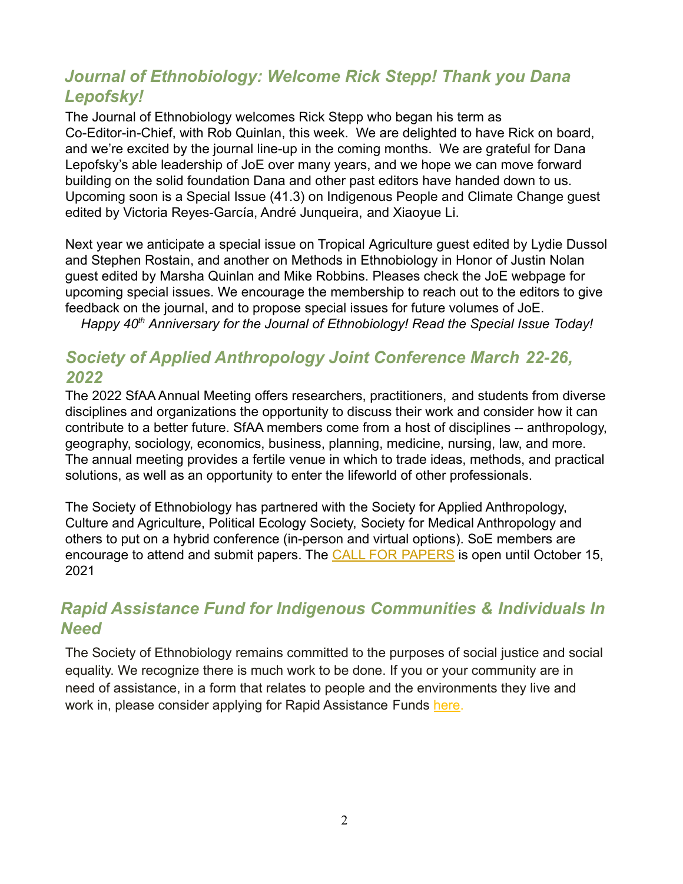## *Journal of Ethnobiology: Welcome Rick Stepp! Thank you Dana Lepofsky!*

The Journal of Ethnobiology welcomes Rick Stepp who began his term as Co-Editor-in-Chief, with Rob Quinlan, this week. We are delighted to have Rick on board, and we're excited by the journal line-up in the coming months. We are grateful for Dana Lepofsky's able leadership of JoE over many years, and we hope we can move forward building on the solid foundation Dana and other past editors have handed down to us. Upcoming soon is a Special Issue (41.3) on Indigenous People and Climate Change guest edited by Victoria Reyes-García, André Junqueira, and Xiaoyue Li.

Next year we anticipate a special issue on Tropical Agriculture guest edited by Lydie Dussol and Stephen Rostain, and another on Methods in Ethnobiology in Honor of Justin Nolan guest edited by Marsha Quinlan and Mike Robbins. Pleases check the JoE webpage for upcoming special issues. We encourage the membership to reach out to the editors to give feedback on the journal, and to propose special issues for future volumes of JoE.

*Happy 40th Anniversary for the Journal of Ethnobiology! Read the Special Issue Today!*

#### *Society of Applied Anthropology Joint Conference March 22-26, 2022*

The 2022 SfAA Annual Meeting offers researchers, practitioners, and students from diverse disciplines and organizations the opportunity to discuss their work and consider how it can contribute to a better future. SfAA members come from a host of disciplines -- anthropology, geography, sociology, economics, business, planning, medicine, nursing, law, and more. The annual meeting provides a fertile venue in which to trade ideas, methods, and practical solutions, as well as an opportunity to enter the lifeworld of other professionals.

The Society of Ethnobiology has partnered with the Society for Applied Anthropology, Culture and Agriculture, Political Ecology Society, Society for Medical Anthropology and others to put on a hybrid conference (in-person and virtual options). SoE members are encourage to attend and submit papers. The **[CALL FOR](https://www.appliedanthro.org/annual-meeting/meeting-information) PAPERS** is open until October 15, 2021

#### *Rapid Assistance Fund for Indigenous Communities & Individuals In Need*

The Society of Ethnobiology remains committed to the purposes of social justice and social equality. We recognize there is much work to be done. If you or your community are in need of assistance, in a form that relates to people and the environments they live and work in, please consider applying for Rapid Assistance Funds [here.](https://ethnobiology.org/awards/rapid-assistance-fund)